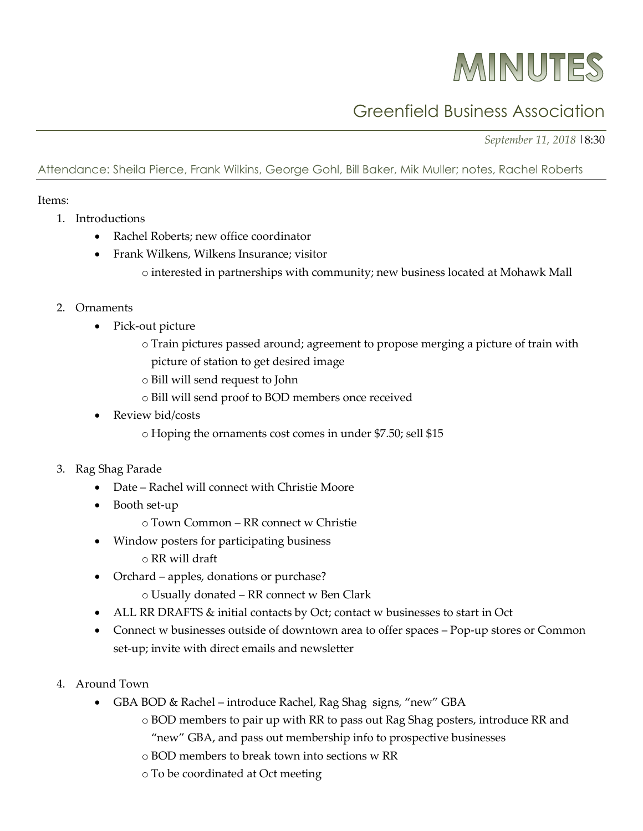## MINUTES

## Greenfield Business Association

*September 11, 2018* |8:30

Attendance: Sheila Pierce, Frank Wilkins, George Gohl, Bill Baker, Mik Muller; notes, Rachel Roberts

## Items:

- 1. Introductions
	- Rachel Roberts; new office coordinator
	- Frank Wilkens, Wilkens Insurance; visitor
		- o interested in partnerships with community; new business located at Mohawk Mall

## 2. Ornaments

- Pick-out picture
	- o Train pictures passed around; agreement to propose merging a picture of train with picture of station to get desired image
	- o Bill will send request to John
	- o Bill will send proof to BOD members once received
- Review bid/costs
	- o Hoping the ornaments cost comes in under \$7.50; sell \$15
- 3. Rag Shag Parade
	- Date Rachel will connect with Christie Moore
	- Booth set-up
		- o Town Common RR connect w Christie
	- Window posters for participating business
		- o RR will draft
	- Orchard apples, donations or purchase?
		- o Usually donated RR connect w Ben Clark
	- ALL RR DRAFTS & initial contacts by Oct; contact w businesses to start in Oct
	- Connect w businesses outside of downtown area to offer spaces Pop-up stores or Common set-up; invite with direct emails and newsletter
- 4. Around Town
	- GBA BOD & Rachel introduce Rachel, Rag Shag signs, "new" GBA
		- o BOD members to pair up with RR to pass out Rag Shag posters, introduce RR and
			- "new" GBA, and pass out membership info to prospective businesses
		- o BOD members to break town into sections w RR
		- o To be coordinated at Oct meeting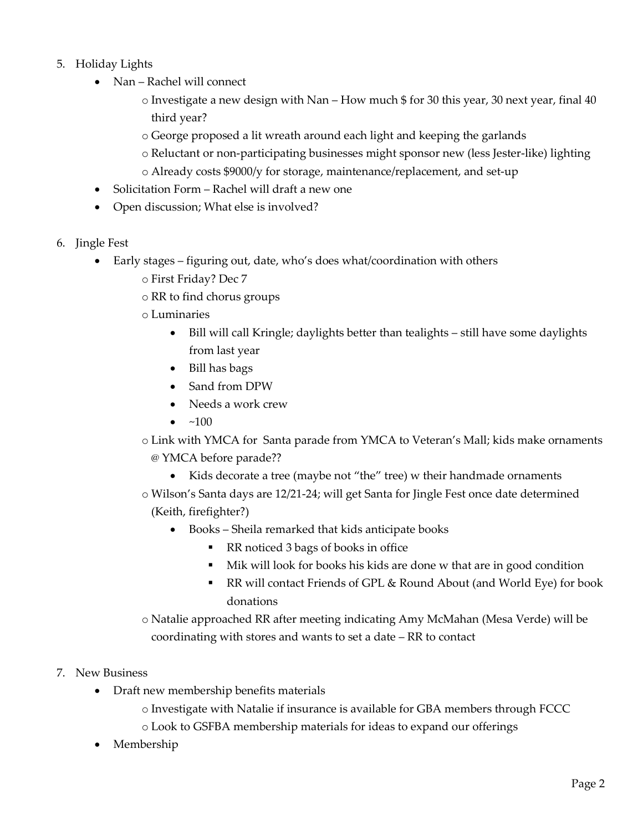- 5. Holiday Lights
	- Nan Rachel will connect
		- $\circ$  Investigate a new design with Nan How much \$ for 30 this year, 30 next year, final 40 third year?
		- o George proposed a lit wreath around each light and keeping the garlands
		- o Reluctant or non-participating businesses might sponsor new (less Jester-like) lighting
		- o Already costs \$9000/y for storage, maintenance/replacement, and set-up
	- Solicitation Form Rachel will draft a new one
	- Open discussion; What else is involved?
- 6. Jingle Fest
	- Early stages figuring out, date, who's does what/coordination with others
		- o First Friday? Dec 7
		- o RR to find chorus groups
		- o Luminaries
			- Bill will call Kringle; daylights better than tealights still have some daylights from last year
			- Bill has bags
			- Sand from DPW
			- Needs a work crew
			- $\bullet \quad \text{~}400$

o Link with YMCA for Santa parade from YMCA to Veteran's Mall; kids make ornaments @ YMCA before parade??

• Kids decorate a tree (maybe not "the" tree) w their handmade ornaments

o Wilson's Santa days are 12/21-24; will get Santa for Jingle Fest once date determined (Keith, firefighter?)

- Books Sheila remarked that kids anticipate books
	- RR noticed 3 bags of books in office
	- Mik will look for books his kids are done w that are in good condition
	- RR will contact Friends of GPL & Round About (and World Eye) for book donations
- o Natalie approached RR after meeting indicating Amy McMahan (Mesa Verde) will be coordinating with stores and wants to set a date – RR to contact
- 7. New Business
	- Draft new membership benefits materials
		- o Investigate with Natalie if insurance is available for GBA members through FCCC
		- o Look to GSFBA membership materials for ideas to expand our offerings
	- Membership